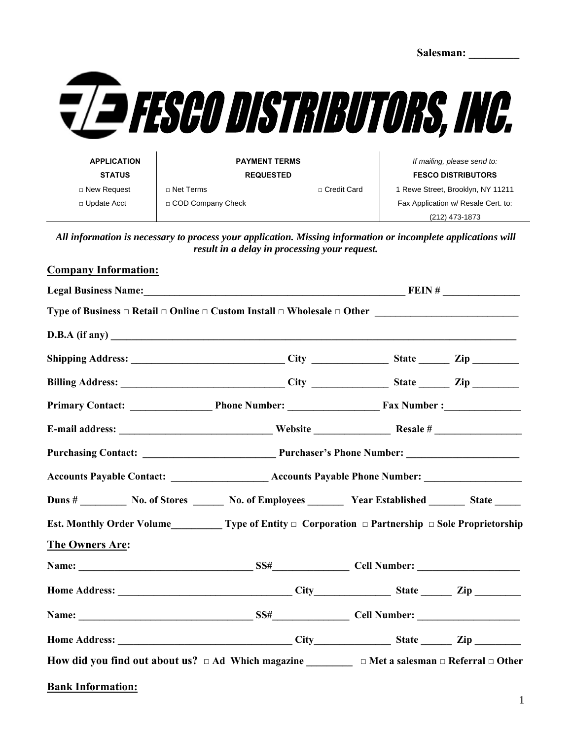E FESCO DISTRIBUTORS, INC. **APPLICATION PAYMENT TERMS** *If mailing, please send to:*  **STATUS REQUESTED FESCO DISTRIBUTORS □** New Request **□** Net Terms **□** Credit Card 1 Rewe Street, Brooklyn, NY 11211 □ Update Acct  $\Box$  COD Company Check **Fax Application w/ Resale Cert. to:** (212) 473-1873

*All information is necessary to process your application. Missing information or incomplete applications will result in a delay in processing your request.*

| D.B.A (if any)                                                                                            |                                                                                                                   |  |  |  |
|-----------------------------------------------------------------------------------------------------------|-------------------------------------------------------------------------------------------------------------------|--|--|--|
|                                                                                                           |                                                                                                                   |  |  |  |
|                                                                                                           |                                                                                                                   |  |  |  |
|                                                                                                           |                                                                                                                   |  |  |  |
|                                                                                                           |                                                                                                                   |  |  |  |
|                                                                                                           |                                                                                                                   |  |  |  |
|                                                                                                           | Accounts Payable Contact: ________________________Accounts Payable Phone Number: ___________________              |  |  |  |
|                                                                                                           |                                                                                                                   |  |  |  |
| Est. Monthly Order Volume Type of Entity $\Box$ Corporation $\Box$ Partnership $\Box$ Sole Proprietorship |                                                                                                                   |  |  |  |
| <b>The Owners Are:</b>                                                                                    |                                                                                                                   |  |  |  |
|                                                                                                           |                                                                                                                   |  |  |  |
|                                                                                                           |                                                                                                                   |  |  |  |
|                                                                                                           |                                                                                                                   |  |  |  |
|                                                                                                           |                                                                                                                   |  |  |  |
|                                                                                                           | How did you find out about us? $\Box$ Ad Which magazine $\Box$ $\Box$ Met a salesman $\Box$ Referral $\Box$ Other |  |  |  |

**Salesman: \_\_\_\_\_\_\_\_\_**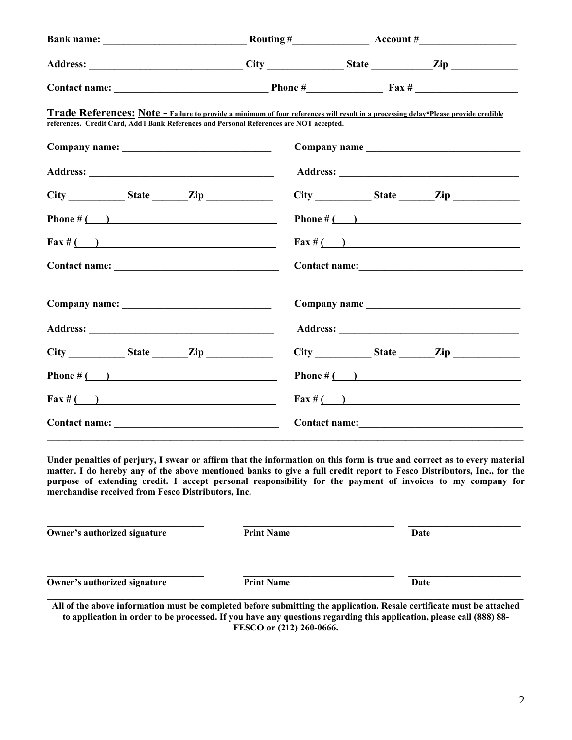|                                                                                                            | Company name                                                                                                                                                                                                                                                                                                                                                      |  |
|------------------------------------------------------------------------------------------------------------|-------------------------------------------------------------------------------------------------------------------------------------------------------------------------------------------------------------------------------------------------------------------------------------------------------------------------------------------------------------------|--|
|                                                                                                            |                                                                                                                                                                                                                                                                                                                                                                   |  |
| City State Zip                                                                                             | City State Zip                                                                                                                                                                                                                                                                                                                                                    |  |
| <b>Phone</b> $\#$ ( )                                                                                      | Phone $\#$ ( )                                                                                                                                                                                                                                                                                                                                                    |  |
|                                                                                                            | $\text{Fax} \# \text{ }$                                                                                                                                                                                                                                                                                                                                          |  |
|                                                                                                            |                                                                                                                                                                                                                                                                                                                                                                   |  |
|                                                                                                            | Company name                                                                                                                                                                                                                                                                                                                                                      |  |
|                                                                                                            |                                                                                                                                                                                                                                                                                                                                                                   |  |
|                                                                                                            |                                                                                                                                                                                                                                                                                                                                                                   |  |
| Phone $\#$ ( )                                                                                             | Phone $\#$ ( )                                                                                                                                                                                                                                                                                                                                                    |  |
| $\text{Fax } \# \left( \begin{array}{c} \begin{array}{c} \hline \end{array} \\ \hline \end{array} \right)$ | $\text{Fax } \# \text{ } (\hspace{2em} )$                                                                                                                                                                                                                                                                                                                         |  |
|                                                                                                            |                                                                                                                                                                                                                                                                                                                                                                   |  |
| merchandise received from Fesco Distributors, Inc.                                                         | Under penalties of perjury, I swear or affirm that the information on this form is true and correct as to every material<br>matter. I do hereby any of the above mentioned banks to give a full credit report to Fesco Distributors, Inc., for the<br>purpose of extending credit. I accept personal responsibility for the payment of invoices to my company for |  |
| Owner's authorized signature                                                                               | <b>Print Name</b><br>Date                                                                                                                                                                                                                                                                                                                                         |  |
| Owner's authorized signature                                                                               | <b>Print Name</b><br><b>Date</b>                                                                                                                                                                                                                                                                                                                                  |  |

**Bank name: \_\_\_\_\_\_\_\_\_\_\_\_\_\_\_\_\_\_\_\_\_\_\_\_\_\_\_\_ Routing #\_\_\_\_\_\_\_\_\_\_\_\_\_\_\_ Account #\_\_\_\_\_\_\_\_\_\_\_\_\_\_\_\_\_\_\_** 

**Address: \_\_\_\_\_\_\_\_\_\_\_\_\_\_\_\_\_\_\_\_\_\_\_\_\_\_\_\_\_\_ City \_\_\_\_\_\_\_\_\_\_\_\_\_\_\_ State \_\_\_\_\_\_\_\_\_\_\_\_Zip \_\_\_\_\_\_\_\_\_\_\_\_\_** 

**Contact name: \_\_\_\_\_\_\_\_\_\_\_\_\_\_\_\_\_\_\_\_\_\_\_\_\_\_\_\_\_\_ Phone #\_\_\_\_\_\_\_\_\_\_\_\_\_\_\_ Fax # \_\_\_\_\_\_\_\_\_\_\_\_\_\_\_\_\_\_\_\_** 

**Trade References: Note - Failure to provide a minimum of four references will result in a processing delay\*Please provide credible** 

**references. Credit Card, Add'l Bank References and Personal References are NOT accepted.**

**All of the above information must be completed before submitting the application. Resale certificate must be attached to application in order to be processed. If you have any questions regarding this application, please call (888) 88- FESCO or (212) 260-0666.**